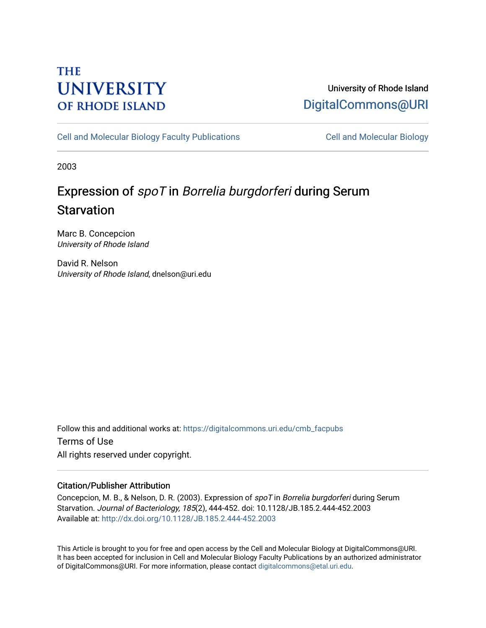# **THE UNIVERSITY OF RHODE ISLAND**

# University of Rhode Island [DigitalCommons@URI](https://digitalcommons.uri.edu/)

[Cell and Molecular Biology Faculty Publications](https://digitalcommons.uri.edu/cmb_facpubs) [Cell and Molecular Biology](https://digitalcommons.uri.edu/cmb) 

2003

# Expression of spoT in Borrelia burgdorferi during Serum **Starvation**

Marc B. Concepcion University of Rhode Island

David R. Nelson University of Rhode Island, dnelson@uri.edu

Follow this and additional works at: [https://digitalcommons.uri.edu/cmb\\_facpubs](https://digitalcommons.uri.edu/cmb_facpubs?utm_source=digitalcommons.uri.edu%2Fcmb_facpubs%2F52&utm_medium=PDF&utm_campaign=PDFCoverPages)  Terms of Use All rights reserved under copyright.

# Citation/Publisher Attribution

Concepcion, M. B., & Nelson, D. R. (2003). Expression of spoT in Borrelia burgdorferi during Serum Starvation. Journal of Bacteriology, 185(2), 444-452. doi: 10.1128/JB.185.2.444-452.2003 Available at:<http://dx.doi.org/10.1128/JB.185.2.444-452.2003>

This Article is brought to you for free and open access by the Cell and Molecular Biology at DigitalCommons@URI. It has been accepted for inclusion in Cell and Molecular Biology Faculty Publications by an authorized administrator of DigitalCommons@URI. For more information, please contact [digitalcommons@etal.uri.edu](mailto:digitalcommons@etal.uri.edu).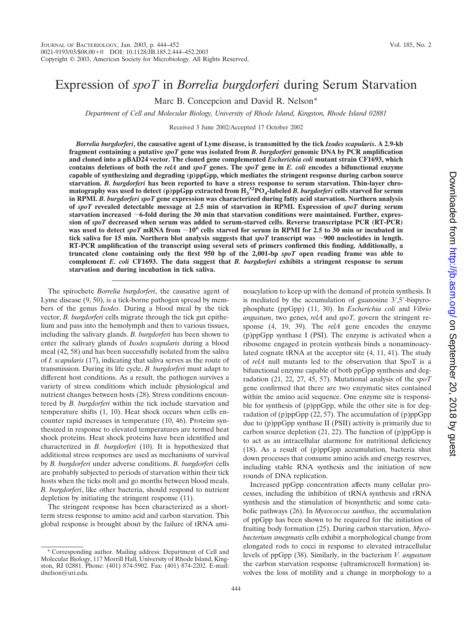# Downloaded from http://jb.asm.org/ on September 20, 2018 by gues Downloaded from <http://jb.asm.org/> on September 20, 2018 by guest

# Expression of *spoT* in *Borrelia burgdorferi* during Serum Starvation

Marc B. Concepcion and David R. Nelson\*

*Department of Cell and Molecular Biology, University of Rhode Island, Kingston, Rhode Island 02881*

Received 3 June 2002/Accepted 17 October 2002

*Borrelia burgdorferi***, the causative agent of Lyme disease, is transmitted by the tick** *Ixodes scapularis***. A 2.9-kb fragment containing a putative** *spoT* **gene was isolated from** *B. burgdorferi* **genomic DNA by PCR amplification and cloned into a pBAD24 vector. The cloned gene complemented** *Escherichia coli* **mutant strain CF1693, which contains deletions of both the** *relA* **and** *spoT* **genes. The** *spoT* **gene in** *E. coli* **encodes a bifunctional enzyme capable of synthesizing and degrading (p)ppGpp, which mediates the stringent response during carbon source starvation.** *B. burgdorferi* **has been reported to have a stress response to serum starvation. Thin-layer chromatography was used to detect (p)ppGpp extracted from H3 32PO4-labeled** *B. burgdorferi* **cells starved for serum in RPMI.** *B. burgdorferi spoT* **gene expression was characterized during fatty acid starvation. Northern analysis of** *spoT* **revealed detectable message at 2.5 min of starvation in RPMI. Expression of** *spoT* **during serum starvation increased** -**6-fold during the 30 min that starvation conditions were maintained. Further, expression of** *spoT* **decreased when serum was added to serum-starved cells. Reverse transcriptase PCR (RT-PCR)** was used to detect *spoT* mRNA from  $\sim$  10<sup>6</sup> cells starved for serum in RPMI for 2.5 to 30 min or incubated in **tick saliva for 15 min. Northern blot analysis suggests that** *spoT* **transcript was** -**900 nucleotides in length. RT-PCR amplification of the transcript using several sets of primers confirmed this finding. Additionally, a truncated clone containing only the first 950 bp of the 2,001-bp** *spoT* **open reading frame was able to complement** *E. coli* **CF1693. The data suggest that** *B. burgdorferi* **exhibits a stringent response to serum starvation and during incubation in tick saliva.**

The spirochete *Borrelia burgdorferi*, the causative agent of Lyme disease (9, 50), is a tick-borne pathogen spread by members of the genus *Ixodes*. During a blood meal by the tick vector, *B. burgdorferi* cells migrate through the tick gut epithelium and pass into the hemolymph and then to various tissues, including the salivary glands. *B. burgdorferi* has been shown to enter the salivary glands of *Ixodes scapularis* during a blood meal (42, 58) and has been successfully isolated from the saliva of *I. scapularis* (17), indicating that saliva serves as the route of transmission. During its life cycle, *B. burgdorferi* must adapt to different host conditions. As a result, the pathogen survives a variety of stress conditions which include physiological and nutrient changes between hosts (28). Stress conditions encountered by *B. burgdorferi* within the tick include starvation and temperature shifts (1, 10). Heat shock occurs when cells encounter rapid increases in temperature (10, 46). Proteins synthesized in response to elevated temperatures are termed heat shock proteins. Heat shock proteins have been identified and characterized in *B. burgdorferi* (10). It is hypothesized that additional stress responses are used as mechanisms of survival by *B. burgdorferi* under adverse conditions. *B. burgdorferi* cells are probably subjected to periods of starvation within their tick hosts when the ticks molt and go months between blood meals. *B. burgdorferi*, like other bacteria, should respond to nutrient depletion by initiating the stringent response (11).

The stringent response has been characterized as a shortterm stress response to amino acid and carbon starvation. This global response is brought about by the failure of tRNA aminoacylation to keep up with the demand of protein synthesis. It is mediated by the accumulation of guanosine  $3'$ ,  $5'$ -bispyrophosphate (ppGpp) (11, 30). In *Escherichia coli* and *Vibrio angustum*, two genes, *relA* and *spoT,* govern the stringent response (4, 19, 39). The *relA* gene encodes the enzyme (p)ppGpp synthase I (PSI). The enzyme is activated when a ribosome engaged in protein synthesis binds a nonaminoacylated cognate tRNA at the acceptor site (4, 11, 41). The study of *relA* null mutants led to the observation that SpoT is a bifunctional enzyme capable of both ppGpp synthesis and degradation (21, 22, 27, 45, 57). Mutational analysis of the *spoT* gene confirmed that there are two enzymatic sites contained within the amino acid sequence. One enzyme site is responsible for synthesis of (p)ppGpp, while the other site is for degradation of (p)ppGpp  $(22, 57)$ . The accumulation of (p)ppGpp due to (p)ppGpp synthase II (PSII) activity is primarily due to carbon source depletion  $(21, 22)$ . The function of  $(p)$ ppGpp is to act as an intracellular alarmone for nutritional deficiency (18). As a result of (p)ppGpp accumulation, bacteria shut down processes that consume amino acids and energy reserves, including stable RNA synthesis and the initiation of new rounds of DNA replication.

Increased ppGpp concentration affects many cellular processes, including the inhibition of tRNA synthesis and rRNA synthesis and the stimulation of biosynthetic and some catabolic pathways (26). In *Myxococcus xanthus*, the accumulation of ppGpp has been shown to be required for the initiation of fruiting body formation (25). During carbon starvation, *Mycobacterium smegmatis* cells exhibit a morphological change from elongated rods to cocci in response to elevated intracellular levels of ppGpp (38). Similarly, in the bacterium *V. angustum* the carbon starvation response (ultramicrocell formation) involves the loss of motility and a change in morphology to a

Corresponding author. Mailing address: Department of Cell and Molecular Biology, 117 Morrill Hall, University of Rhode Island, Kingston, RI 02881. Phone: (401) 874-5902. Fax: (401) 874-2202. E-mail: dnelson@uri.edu.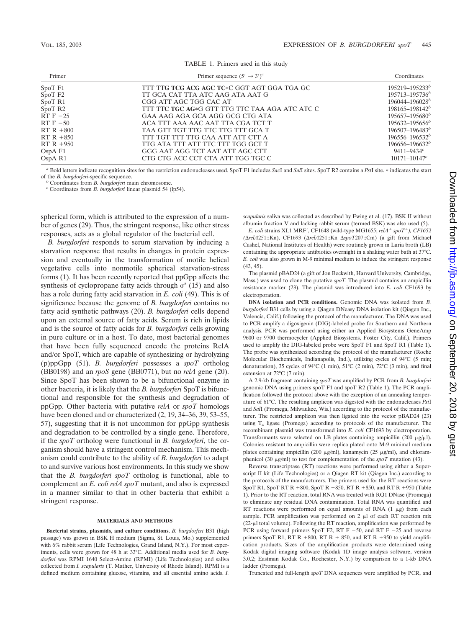| Primer                                       | Primer sequence $(5' \rightarrow 3')^a$        | Coordinates         |
|----------------------------------------------|------------------------------------------------|---------------------|
| SpoT <sub>F1</sub>                           | TIT TTG TCG ACG AGC TC*C GGT AGT GGA TGA GC    | 195219-195233b      |
| SpoT <sub>F2</sub>                           | TT GCA CAT TTA ATC AAG ATA AAT G               | $195713 - 195736^b$ |
| SpoT <sub>R1</sub><br>CGG ATT AGC TGG CAC AT |                                                | $196044 - 196028^b$ |
| SpoT <sub>R2</sub>                           | TIT TTC TGC AG*G GTT TTG TTC TAA AGA ATC ATC C | $198165 - 198142^b$ |
| RT $F - 25$                                  | GAA AAG AGA GCA AGG GCG CTG ATA                | $195657 - 195680^b$ |
| $RTF - 50$                                   | ACA TTT AAA AAC AAT TTA CGA TCT T              | $195632 - 195656^b$ |
| $RT R + 800$                                 | TAA GTT TGT TTG TTC TTG TTT GCA T              | $196507 - 196483^b$ |
| $RT R + 850$                                 | TTT TGT TTT TTG CAA ATT ATT CTT A              | $196556 - 196532^b$ |
| $RTR + 950$                                  | TTG ATA TTT ATT TTC TTT TGG GCT T              | $196656 - 196632^b$ |
| OspA F1                                      | GGG AAT AGG TCT AAT ATT AGC CTT                | $9411 - 9434c$      |
| OspA R1                                      | CTG CTG ACC CCT CTA ATT TGG TGC C              | $10171 - 10147c$    |

TABLE 1. Primers used in this study

*<sup>a</sup>* Bold letters indicate recognition sites for the restriction endonucleases used. SpoT F1 includes *Sac*I and *Sal*I sites. SpoT R2 contains a *Pst*I site. indicates the start

of the *B. burgdorferi*-specific sequence. *<sup>b</sup>* Coordinates from *B. burgdorferi* main chromosome. *<sup>c</sup>* Coordinates from *B. burgdorferi* linear plasmid 54 (lp54).

spherical form, which is attributed to the expression of a number of genes (29). Thus, the stringent response, like other stress responses, acts as a global regulator of the bacterial cell.

*B. burgdorferi* responds to serum starvation by inducing a starvation response that results in changes in protein expression and eventually in the transformation of motile helical vegetative cells into nonmotile spherical starvation-stress forms (1). It has been recently reported that ppGpp affects the synthesis of cyclopropane fatty acids through  $\sigma^s$  (15) and also has a role during fatty acid starvation in *E. coli* (49). This is of significance because the genome of *B. burgdorferi* contains no fatty acid synthetic pathways (20). *B. burgdorferi* cells depend upon an external source of fatty acids. Serum is rich in lipids and is the source of fatty acids for *B. burgdorferi* cells growing in pure culture or in a host. To date, most bacterial genomes that have been fully sequenced encode the proteins RelA and/or SpoT, which are capable of synthesizing or hydrolyzing (p)ppGpp (51). *B. burgdorferi* possesses a *spoT* ortholog (BB0198) and an *rpoS* gene (BB0771), but no *relA* gene (20). Since SpoT has been shown to be a bifunctional enzyme in other bacteria, it is likely that the *B. burgdorferi* SpoT is bifunctional and responsible for the synthesis and degradation of ppGpp. Other bacteria with putative *relA* or *spoT* homologs have been cloned and or characterized  $(2, 19, 34-36, 39, 53-55,$ 57), suggesting that it is not uncommon for ppGpp synthesis and degradation to be controlled by a single gene. Therefore, if the *spoT* ortholog were functional in *B. burgdorferi*, the organism should have a stringent control mechanism. This mechanism could contribute to the ability of *B. burgdorferi* to adapt to and survive various host environments. In this study we show that the *B. burgdorferi spoT* ortholog is functional, able to complement an *E. coli relA spoT* mutant, and also is expressed in a manner similar to that in other bacteria that exhibit a stringent response.

### **MATERIALS AND METHODS**

**Bacterial strains, plasmids, and culture conditions.** *B. burgdorferi* B31 (high passage) was grown in BSK H medium (Sigma, St. Louis, Mo.) supplemented with 6% rabbit serum (Life Technologies, Grand Island, N.Y.). For most experiments, cells were grown for 48 h at 33°C. Additional media used for *B. burgdorferi* was RPMI 1640 Select-Amine (RPMI) (Life Technologies) and saliva collected from *I. scapularis* (T. Mather, University of Rhode Island). RPMI is a defined medium containing glucose, vitamins, and all essential amino acids. *I.* *scapularis* saliva was collected as described by Ewing et al. (17). BSK II without albumin fraction V and lacking rabbit serum (termed BSK) was also used (5).

*E. coli* strains XL1 MRF, CF1648 (wild-type MG1655; *relA spoT), CF1652 (relA*251::Kn), CF1693 (*relA*251::Kn *spoT*207::Cm) (a gift from Michael Cashel, National Institutes of Health) were routinely grown in Luria broth (LB) containing the appropriate antibiotics overnight in a shaking water bath at 37°C. *E. coli* was also grown in M-9 minimal medium to induce the stringent response (43, 45).

The plasmid pBAD24 (a gift of Jon Beckwith, Harvard University, Cambridge, Mass.) was used to clone the putative *spoT*. The plasmid contains an ampicillin resistance marker (23). The plasmid was introduced into *E. coli* CF1693 by electroporation.

**DNA isolation and PCR conditions.** Genomic DNA was isolated from *B. burgdorferi* B31 cells by using a Qiagen DNeasy DNA isolation kit (Qiagen Inc., Valencia, Calif.) following the protocol of the manufacturer. The DNA was used to PCR amplify a digoxigenin (DIG)-labeled probe for Southern and Northern analysis. PCR was performed using either an Applied Biosystems GeneAmp 9600 or 9700 thermocycler (Applied Biosystems, Foster City, Calif.). Primers used to amplify the DIG-labeled probe were SpoT F1 and SpoT R1 (Table 1). The probe was synthesized according the protocol of the manufacturer (Roche Molecular Biochemicals, Indianapolis, Ind.), utilizing cycles of 94°C (5 min; denaturation), 35 cycles of 94°C (1 min), 51°C (2 min), 72°C (3 min), and final extension at 72°C (7 min).

A 2.9-kb fragment containing *spoT* was amplified by PCR from *B. burgdorferi* genomic DNA using primers spoT F1 and spoT R2 (Table 1). The PCR amplification followed the protocol above with the exception of an annealing temperature of 61°C. The resulting amplicon was digested with the endonucleases *Pst*I and *Sal*I (Promega, Milwaukee, Wis.) according to the protocol of the manufacturer. The restricted amplicon was then ligated into the vector pBAD24 (23) using T4 ligase (Promega) according to protocols of the manufacturer. The recombinant plasmid was transformed into *E. coli* CF1693 by electroporation. Transformants were selected on LB plates containing ampicillin (200  $\mu$ g/ $\mu$ l). Colonies resistant to ampicillin were replica plated onto M-9 minimal medium plates containing ampicillin (200  $\mu$ g/ml), kanamycin (25  $\mu$ g/ml), and chloramphenicol (30 μg/ml) to test for complementation of the *spoT* mutation (43).

Reverse transcriptase (RT) reactions were performed using either a Superscript II kit (Life Technologies) or a Qiagen RT kit (Qiagen Inc.) according to the protocols of the manufacturers. The primers used for the RT reactions were SpoT R1, SpoT RT R  $+800$ , SpoT R  $+850$ , RT R  $+850$ , and RT R  $+950$  (Table 1). Prior to the RT reaction, total RNA was treated with RQ1 DNase (Promega) to eliminate any residual DNA contamination. Total RNA was quantified and RT reactions were performed on equal amounts of RNA  $(1 \mu g)$  from each sample. PCR amplification was performed on  $2 \mu$  of each RT reaction mix  $(22-\mu)$  total volume). Following the RT reaction, amplification was performed by PCR using forward primers SpoT F2, RT F  $-50$ , and RT F  $-25$  and reverse primers SpoT R1,  $\angle$ RT R + 800, RT R + 850, and RT R + 950 to yield amplification products. Sizes of the amplification products were determined using Kodak digital imaging software (Kodak 1D image analysis software, version 3.0.2; Eastman Kodak Co., Rochester, N.Y.) by comparison to a 1-kb DNA ladder (Promega).

Truncated and full-length *spoT* DNA sequences were amplified by PCR, and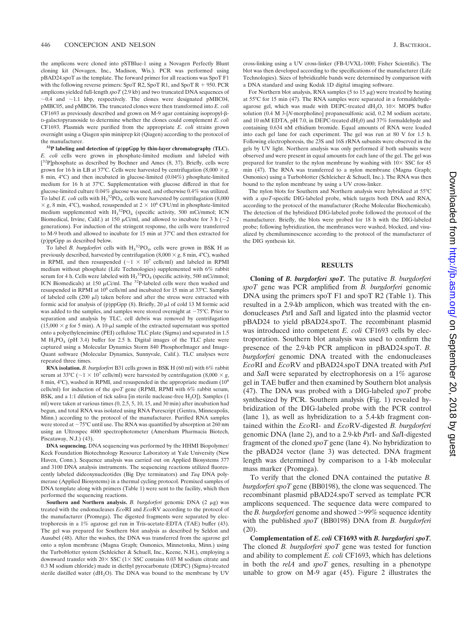the amplicons were cloned into pSTBlue-1 using a Novagen Perfectly Blunt cloning kit (Novagen, Inc., Madison, Wis.). PCR was performed using pBAD24.spoT as the template. The forward primer for all reactions was SpoT F1 with the following reverse primers: SpoT R2, SpoT R1, and SpoT  $R + 950$ . PCR amplicons yielded full-length *spoT* (2.9 kb) and two truncated DNA sequences of  $\sim$ 0.4 and  $\sim$ 1.1 kbp, respectively. The clones were designated pMBC04, pMBC05, and pMBC06. The truncated clones were then transformed into *E. coli* CF1693 as previously described and grown on M-9 agar containing isopropyl- $\beta$ -D-galactopyranoside to determine whether the clones could complement *E. coli* CF1693. Plasmids were purified from the appropriate *E. coli* strains grown overnight using a Qiagen spin miniprep kit (Qiagen) according to the protocol of the manufacturer.

**32P labeling and detection of (p)ppGpp by thin-layer chromatography (TLC).** *E. coli* cells were grown in phosphate-limited medium and labeled with [<sup>32</sup>P]phosphate as described by Bochner and Ames (8, 37). Briefly, cells were grown for 16 h in LB at 37°C. Cells were harvested by centrifugation  $(8,000 \times g, 1000 \times g, 1000 \times g, 1000 \times g, 1000 \times g, 1000 \times g, 1000 \times g, 1000 \times g, 1000 \times g, 1000 \times g, 1000 \times g, 1000 \times g, 1000 \times g, 1000 \times g, 1000 \times g, 1000 \times g, 1000 \$ 8 min, 4°C) and then incubated in glucose-limited (0.04%) phosphate-limited medium for 16 h at 37°C. Supplementation with glucose differed in that for glucose-limited culture 0.04% glucose was used, and otherwise 0.4% was utilized. To label *E. coli* cells with  $H_3^3PO_4$ , cells were harvested by centrifugation (8,000)  $\times$  g, 8 min, 4°C), washed, resuspended at 2  $\times$  10<sup>6</sup> CFU/ml in phosphate-limited medium supplemented with  $H_3^{32}PO_4$  (specific activity, 500 mCi/mmol; ICN Biomedical, Irvine, Calif.) at 150  $\mu$ Ci/ml, and allowed to incubate for 3 h ( $\sim$ 2 generations). For induction of the stringent response, the cells were transferred to M-9 broth and allowed to incubate for 15 min at 37°C and then extracted for (p)ppGpp as described below.

To label *B. burgdorferi* cells with  $H_3^{32}PO_4$ , cells were grown in BSK H as previously described, harvested by centrifugation  $(8,000 \times g, 8 \text{ min}, 4^{\circ}\text{C})$ , washed in RPMI, and then resuspended ( $\sim$ 1  $\times$  10<sup>7</sup> cells/ml) and labeled in RPMI medium without phosphate (Life Technologies) supplemented with 6% rabbit serum for 4 h. Cells were labeled with  $H_3^{32}PO_4$  (specific activity, 500 mCi/mmol; ICN Biomedicals) at 150  $\mu$ Ci/ml. The <sup>32</sup>P-labeled cells were then washed and resuspended in RPMI at 10<sup>6</sup> cells/ml and incubated for 15 min at 33°C. Samples of labeled cells (200  $\mu$ l) taken before and after the stress were extracted with formic acid for analysis of (p)ppGpp  $(8)$ . Briefly, 20  $\mu$ l of cold 13 M formic acid was added to the samples, and samples were stored overnight at  $-75^{\circ}$ C. Prior to separation and analysis by TLC, cell debris was removed by centrifugation  $(15,000 \times g$  for 5 min). A 10- $\mu$ l sample of the extracted supernatant was spotted onto a polyethyleneimine (PEI) cellulose TLC plate (Sigma) and separated in 1.5 M  $H_3PO_4$  (pH 3.4) buffer for 2.5 h. Digital images of the TLC plate were captured using a Molecular Dynamics Storm 840 PhosphorImager and Image-Quant software (Molecular Dynamics, Sunnyvale, Calif.). TLC analyses were repeated three times.

**RNA isolation.** *B. burgdorferi* B31 cells grown in BSK H (60 ml) with 6% rabbit serum at 33°C ( $\sim$ 1  $\times$  10<sup>7</sup> cells/ml) were harvested by centrifugation (8,000  $\times$  *g*, 8 min, 4°C), washed in RPMI, and resuspended in the appropriate medium (10<sup>8</sup> cells/ml) for induction of the *spoT* gene (RPMI, RPMI with 6% rabbit serum, BSK, and a 1:1 dilution of tick saliva [in sterile nuclease-free  $H_2O$ ]). Samples (1 ml) were taken at various times (0, 2.5, 5, 10, 15, and 30 min) after incubation had begun, and total RNA was isolated using RNA Purescript (Gentra, Minneapolis, Minn.) according to the protocol of the manufacturer. Purified RNA samples were stored at  $-75^{\circ}$ C until use. The RNA was quantified by absorption at 260 nm using an Ultrospec 4000 spectrophotometer (Amersham Pharmacia Biotech, Piscataway, N.J.) (43).

**DNA sequencing.** DNA sequencing was performed by the HHMI Biopolymer/ Keck Foundation Biotechnology Resource Laboratory at Yale University (New Haven, Conn.). Sequence analysis was carried out on Applied Biosystems 377 and 3100 DNA analysis instruments. The sequencing reactions utilized fluorescently labeled dideoxynucleotides (Big Dye terminators) and *Taq* DNA polymerase (Applied Biosystems) in a thermal cycling protocol. Premixed samples of DNA template along with primers (Table 1) were sent to the facility, which then performed the sequencing reactions.

**Southern and Northern analysis.** *B. burgdorferi* genomic DNA (2 μg) was treated with the endonucleases *Eco*RI and *Eco*RV according to the protocol of the manufacturer (Promega). The digested fragments were separated by electrophoresis in a 1% agarose gel run in Tris-acetate-EDTA (TAE) buffer (43). The gel was prepared for Southern blot analysis as described by Seldon and Ausubel (48). After the washes, the DNA was transferred from the agarose gel onto a nylon membrane (Magna Graph; Osmonics, Minnetonka, Minn.) using the Turboblotter system (Schleicher & Schuell, Inc., Keene, N.H.), employing a downward transfer with  $20 \times$  SSC ( $1 \times$  SSC contains 0.03 M sodium citrate and 0.3 M sodium chloride) made in diethyl pyrocarbonate (DEPC) (Sigma)-treated sterile distilled water ( $dH<sub>2</sub>O$ ). The DNA was bound to the membrane by UV

cross-linking using a UV cross-linker (FB-UVXL-1000; Fisher Scientific). The blot was then developed according to the specifications of the manufacturer (Life Technologies). Sizes of hybridizable bands were determined by comparison with a DNA standard and using Kodak 1D digital imaging software.

For Northern blot analysis, RNA samples (5 to 15  $\mu$ g) were treated by heating at 55°C for 15 min (47). The RNA samples were separated in a formaldehydeagarose gel, which was made with DEPC-treated  $dH_2O$ ,  $10\times$  MOPS buffer solution (0.4 M 3-[*N*-morpholino] propanesulfonic acid, 0.2 M sodium acetate, and 10 mM EDTA, pH 7.0, in DEPC-treated  $dH_2$ 0) and 37% formaldehyde and containing 0.634 nM ethidium bromide. Equal amounts of RNA were loaded into each gel lane for each experiment. The gel was run at 80 V for 1.5 h. Following electrophoresis, the 23S and 16S rRNA subunits were observed in the gels by UV light. Northern analysis was only performed if both subunits were observed and were present in equal amounts for each lane of the gel. The gel was prepared for transfer to the nylon membrane by washing with  $10 \times$  SSC for 45 min (47). The RNA was transferred to a nylon membrane (Magna Graph; Osmonics) using a Turboblotter (Schleicher & Schuell, Inc.). The RNA was then bound to the nylon membrane by using a UV cross-linker.

The nylon blots for Southern and Northern analysis were hybridized at 55°C with a *spoT*-specific DIG-labeled probe, which targets both DNA and RNA, according to the protocol of the manufacturer (Roche Molecular Biochemicals). The detection of the hybridized DIG-labeled probe followed the protocol of the manufacturer. Briefly, the blots were probed for 18 h with the DIG-labeled probe; following hybridization, the membranes were washed, blocked, and visualized by chemiluminescence according to the protocol of the manufacturer of the DIG synthesis kit.

# **RESULTS**

**Cloning of** *B. burgdorferi spoT.* The putative *B. burgdorferi spoT* gene was PCR amplified from *B. burgdorferi* genomic DNA using the primers spoT F1 and spoT R2 (Table 1). This resulted in a 2.9-kb amplicon, which was treated with the endonucleases *Pst*I and *Sal*I and ligated into the plasmid vector pBAD24 to yield pBAD24.spoT. The recombinant plasmid was introduced into competent *E. coli* CF1693 cells by electroporation. Southern blot analysis was used to confirm the presence of the 2.9-kb PCR amplicon in pBAD24.spoT. *B. burgdorferi* genomic DNA treated with the endonucleases *Eco*RI and *Eco*RV and pBAD24.spoT DNA treated with *Pst*I and *Sal*I were separated by electrophoresis on a 1% agarose gel in TAE buffer and then examined by Southern blot analysis (47). The DNA was probed with a DIG-labeled *spoT* probe synthesized by PCR. Southern analysis (Fig. 1) revealed hybridization of the DIG-labeled probe with the PCR control (lane 1), as well as hybridization to a 5.4-kb fragment contained within the *Eco*RI- and *Eco*RV-digested *B. burgdorferi* genomic DNA (lane 2), and to a 2.9-kb *Pst*I- and *Sal*I-digested fragment of the cloned *spoT* gene (lane 4). No hybridization to the pBAD24 vector (lane 3) was detected. DNA fragment length was determined by comparison to a 1-kb molecular mass marker (Promega).

To verify that the cloned DNA contained the putative *B. burgdorferi spoT* gene (BB0198), the clone was sequenced. The recombinant plasmid pBAD24.spoT served as template PCR amplicons sequenced. The sequence data were compared to the *B. burgdorferi* genome and showed 99% sequence identity with the published *spoT* (BB0198) DNA from *B. burgdorferi* (20).

**Complementation of** *E. coli* **CF1693 with** *B. burgdorferi spoT.* The cloned *B. burgdorferi spoT* gene was tested for function and ability to complement *E. coli* CF1693, which has deletions in both the *relA* and *spoT* genes, resulting in a phenotype unable to grow on M-9 agar (45). Figure 2 illustrates the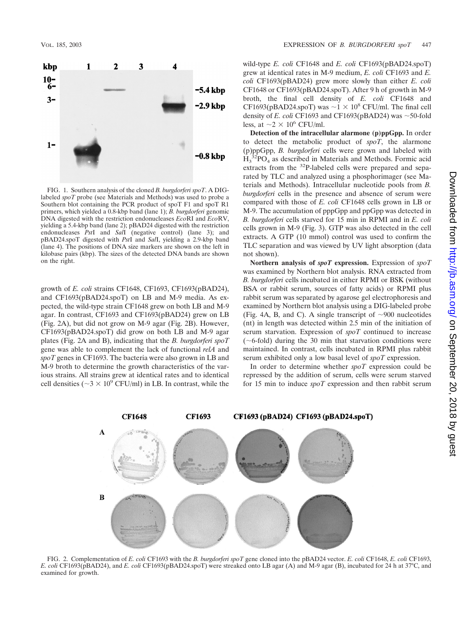

FIG. 1. Southern analysis of the cloned *B. burgdorferi spoT*. A DIGlabeled *spoT* probe (see Materials and Methods) was used to probe a Southern blot containing the PCR product of spoT F1 and spoT R1 primers, which yielded a 0.8-kbp band (lane 1); *B. burgdorferi* genomic DNA digested with the restriction endonucleases *Eco*RI and *Eco*RV, yielding a 5.4-kbp band (lane 2); pBAD24 digested with the restriction endonucleases *Pst*I and *Sal*I (negative control) (lane 3); and pBAD24.spoT digested with *Pst*I and *Sal*I, yielding a 2.9-kbp band (lane 4). The positions of DNA size markers are shown on the left in kilobase pairs (kbp). The sizes of the detected DNA bands are shown on the right.

growth of *E. coli* strains CF1648, CF1693, CF1693(pBAD24), and CF1693(pBAD24.spoT) on LB and M-9 media. As expected, the wild-type strain CF1648 grew on both LB and M-9 agar. In contrast, CF1693 and CF1693(pBAD24) grew on LB (Fig. 2A), but did not grow on M-9 agar (Fig. 2B). However, CF1693(pBAD24.spoT) did grow on both LB and M-9 agar plates (Fig. 2A and B), indicating that the *B. burgdorferi spoT* gene was able to complement the lack of functional *relA* and *spoT* genes in CF1693. The bacteria were also grown in LB and M-9 broth to determine the growth characteristics of the various strains. All strains grew at identical rates and to identical cell densities ( $\sim$ 3  $\times$  10<sup>9</sup> CFU/ml) in LB. In contrast, while the

wild-type *E. coli* CF1648 and *E. coli* CF1693(pBAD24.spoT) grew at identical rates in M-9 medium, *E. coli* CF1693 and *E. coli* CF1693(pBAD24) grew more slowly than either *E. coli* CF1648 or CF1693(pBAD24.spoT). After 9 h of growth in M-9 broth, the final cell density of *E. coli* CF1648 and CF1693(pBAD24.spoT) was  $\sim$ 1  $\times$  10<sup>8</sup> CFU/ml. The final cell density of *E. coli* CF1693 and CF1693(pBAD24) was  $\sim$ 50-fold less, at  $\sim$  2  $\times$  10<sup>6</sup> CFU/ml.

**Detection of the intracellular alarmone (p)ppGpp.** In order to detect the metabolic product of *spoT*, the alarmone (p)ppGpp, *B. burgdorferi* cells were grown and labeled with  $H_3^{\,32}PO_4$  as described in Materials and Methods. Formic acid extracts from the <sup>32</sup>P-labeled cells were prepared and separated by TLC and analyzed using a phosphorimager (see Materials and Methods). Intracellular nucleotide pools from *B. burgdorferi* cells in the presence and absence of serum were compared with those of *E. coli* CF1648 cells grown in LB or M-9. The accumulation of pppGpp and ppGpp was detected in *B. burgdorferi* cells starved for 15 min in RPMI and in *E. coli* cells grown in M-9 (Fig. 3). GTP was also detected in the cell extracts. A GTP (10 mmol) control was used to confirm the TLC separation and was viewed by UV light absorption (data not shown).

**Northern analysis of** *spoT* **expression.** Expression of *spoT* was examined by Northern blot analysis. RNA extracted from *B. burgdorferi* cells incubated in either RPMI or BSK (without BSA or rabbit serum, sources of fatty acids) or RPMI plus rabbit serum was separated by agarose gel electrophoresis and examined by Northern blot analysis using a DIG-labeled probe (Fig. 4A, B, and C). A single transcript of  $\sim$ 900 nucleotides (nt) in length was detected within 2.5 min of the initiation of serum starvation. Expression of *spoT* continued to increase  $(\sim 6\text{-fold})$  during the 30 min that starvation conditions were maintained. In contrast, cells incubated in RPMI plus rabbit serum exhibited only a low basal level of *spoT* expression.

In order to determine whether *spoT* expression could be repressed by the addition of serum, cells were serum starved for 15 min to induce *spoT* expression and then rabbit serum



FIG. 2. Complementation of *E. coli* CF1693 with the *B. burgdorferi spoT* gene cloned into the pBAD24 vector. *E. coli* CF1648, *E. coli* CF1693, *E. coli* CF1693(pBAD24), and *E. coli* CF1693(pBAD24.spoT) were streaked onto LB agar (A) and M-9 agar (B), incubated for 24 h at 37°C, and examined for growth.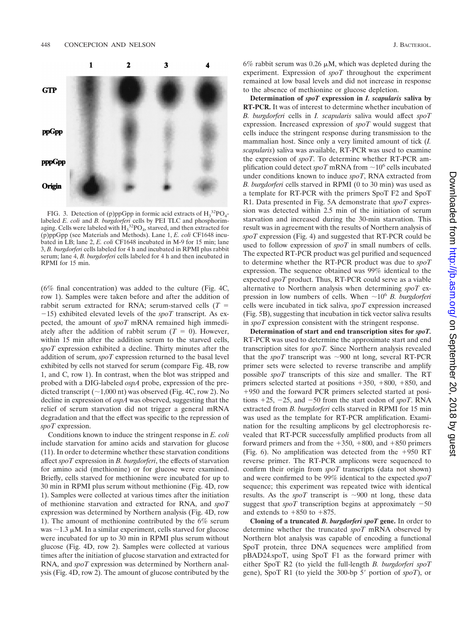

FIG. 3. Detection of (p)ppGpp in formic acid extracts of  $H_3^{\,32}PO_4$ labeled *E. coli* and *B. burgdorferi* cells by PEI TLC and phosphorimaging. Cells were labeled with  $\text{H}_3^{32} \text{PO}_4$ , starved, and then extracted for (p)ppGpp (see Materials and Methods). Lane 1, *E. coli* CF1648 incubated in LB; lane 2, *E. coli* CF1648 incubated in M-9 for 15 min; lane 3, *B. burgdorferi* cells labeled for 4 h and incubated in RPMI plus rabbit serum; lane 4, *B. burgdorferi* cells labeled for 4 h and then incubated in RPMI for 15 min.

(6% final concentration) was added to the culture (Fig. 4C, row 1). Samples were taken before and after the addition of rabbit serum extracted for RNA; serum-starved cells (*T*  $-15$ ) exhibited elevated levels of the *spoT* transcript. As expected, the amount of *spoT* mRNA remained high immediately after the addition of rabbit serum  $(T = 0)$ . However, within 15 min after the addition serum to the starved cells, *spoT* expression exhibited a decline. Thirty minutes after the addition of serum, *spoT* expression returned to the basal level exhibited by cells not starved for serum (compare Fig. 4B, row 1, and C, row 1). In contrast, when the blot was stripped and probed with a DIG-labeled *ospA* probe, expression of the predicted transcript ( $\sim$ 1,000 nt) was observed (Fig. 4C, row 2). No decline in expression of *ospA* was observed, suggesting that the relief of serum starvation did not trigger a general mRNA degradation and that the effect was specific to the repression of *spoT* expression.

Conditions known to induce the stringent response in *E. coli* include starvation for amino acids and starvation for glucose (11). In order to determine whether these starvation conditions affect *spoT* expression in *B. burgdorferi*, the effects of starvation for amino acid (methionine) or for glucose were examined. Briefly, cells starved for methionine were incubated for up to 30 min in RPMI plus serum without methionine (Fig. 4D, row 1). Samples were collected at various times after the initiation of methionine starvation and extracted for RNA, and *spoT* expression was determined by Northern analysis (Fig. 4D, row 1). The amount of methionine contributed by the 6% serum was  $\sim$ 1.3  $\mu$ M. In a similar experiment, cells starved for glucose were incubated for up to 30 min in RPMI plus serum without glucose (Fig. 4D, row 2). Samples were collected at various times after the initiation of glucose starvation and extracted for RNA, and *spoT* expression was determined by Northern analysis (Fig. 4D, row 2). The amount of glucose contributed by the

6% rabbit serum was 0.26  $\mu$ M, which was depleted during the experiment. Expression of *spoT* throughout the experiment remained at low basal levels and did not increase in response to the absence of methionine or glucose depletion.

**Determination of** *spoT* **expression in** *I. scapularis* **saliva by RT-PCR.** It was of interest to determine whether incubation of *B. burgdorferi* cells in *I. scapularis* saliva would affect *spoT* expression. Increased expression of *spoT* would suggest that cells induce the stringent response during transmission to the mammalian host. Since only a very limited amount of tick (*I. scapularis*) saliva was available, RT-PCR was used to examine the expression of *spoT*. To determine whether RT-PCR amplification could detect  $spoT$  mRNA from  $\sim 10^6$  cells incubated under conditions known to induce *spoT*, RNA extracted from *B. burgdorferi* cells starved in RPMI (0 to 30 min) was used as a template for RT-PCR with the primers SpoT F2 and SpoT R1. Data presented in Fig. 5A demonstrate that *spoT* expression was detected within 2.5 min of the initiation of serum starvation and increased during the 30-min starvation. This result was in agreement with the results of Northern analysis of *spoT* expression (Fig. 4) and suggested that RT-PCR could be used to follow expression of *spoT* in small numbers of cells. The expected RT-PCR product was gel purified and sequenced to determine whether the RT-PCR product was due to *spoT* expression. The sequence obtained was 99% identical to the expected *spoT* product. Thus, RT-PCR could serve as a viable alternative to Northern analysis when determining *spoT* expression in low numbers of cells. When  $\sim 10^6$  *B. burgdorferi* cells were incubated in tick saliva, *spoT* expression increased (Fig. 5B), suggesting that incubation in tick vector saliva results in *spoT* expression consistent with the stringent response.

**Determination of start and end transcription sites for** *spoT.* RT-PCR was used to determine the approximate start and end transcription sites for *spoT.* Since Northern analysis revealed that the *spoT* transcript was  $\sim$ 900 nt long, several RT-PCR primer sets were selected to reverse transcribe and amplify possible *spoT* transcripts of this size and smaller. The RT primers selected started at positions  $+350$ ,  $+800$ ,  $+850$ , and 950 and the forward PCR primers selected started at positions  $+25$ ,  $-25$ , and  $-50$  from the start codon of *spoT*. RNA extracted from *B. burgdorferi* cells starved in RPMI for 15 min was used as the template for RT-PCR amplification. Examination for the resulting amplicons by gel electrophoresis revealed that RT-PCR successfully amplified products from all forward primers and from the  $+350$ ,  $+800$ , and  $+850$  primers (Fig. 6). No amplification was detected from the  $+950$  RT reverse primer. The RT-PCR amplicons were sequenced to confirm their origin from *spoT* transcripts (data not shown) and were confirmed to be 99% identical to the expected *spoT* sequence; this experiment was repeated twice with identical results. As the *spoT* transcript is  $\sim$ 900 nt long, these data suggest that *spoT* transcription begins at approximately  $-50$ and extends to  $+850$  to  $+875$ .

**Cloning of a truncated** *B. burgdorferi spoT* **gene.** In order to determine whether the truncated *spoT* mRNA observed by Northern blot analysis was capable of encoding a functional SpoT protein, three DNA sequences were amplified from pBAD24.spoT, using SpoT F1 as the forward primer with either SpoT R2 (to yield the full-length *B. burgdorferi spoT* gene), SpoT R1 (to yield the 300-bp 5' portion of *spoT*), or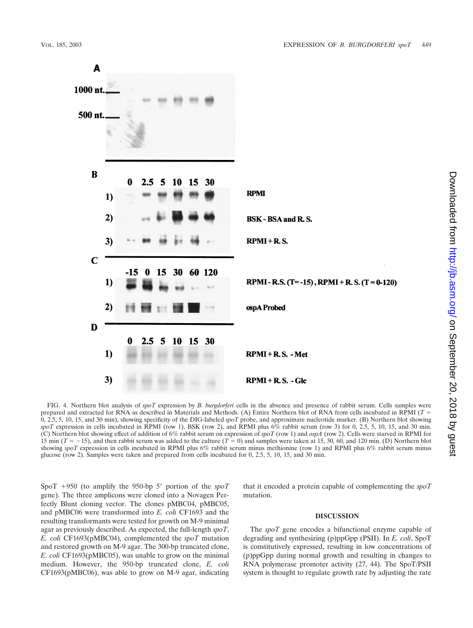

FIG. 4. Northern blot analysis of *spoT* expression by *B. burgdorferi* cells in the absence and presence of rabbit serum. Cells samples were prepared and extracted for RNA as described in Materials and Methods. (A) Entire Northern blot of RNA from cells incubated in RPMI (*T* 0, 2.5, 5, 10, 15, and 30 min), showing specificity of the DIG-labeled *spoT* probe, and approximate nucleotide marker. (B) Northern blot showing  $spoT$  expression in cells incubated in RPMI (row 1), BSK (row 2), and RPMI plus  $6\%$  rabbit serum (row 3) for 0, 2.5, 5, 10, 15, and 30 min. (C) Northern blot showing effect of addition of 6% rabbit serum on expression of *spoT* (row 1) and *ospA* (row 2). Cells were starved in RPMI for 15 min ( $T = -15$ ), and then rabbit serum was added to the culture ( $T = 0$ ) and samples were taken at 15, 30, 60, and 120 min. (D) Northern blot showing *spoT* expression in cells incubated in RPMI plus 6% rabbit serum minus methionine (row 1) and RPMI plus 6% rabbit serum minus glucose (row 2). Samples were taken and prepared from cells incubated for 0, 2.5, 5, 10, 15, and 30 min.

SpoT  $+950$  (to amplify the 950-bp 5' portion of the  $spoT$ gene). The three amplicons were cloned into a Novagen Perfectly Blunt cloning vector. The clones pMBC04, pMBC05, and pMBC06 were transformed into *E. coli* CF1693 and the resulting transformants were tested for growth on M-9 minimal agar as previously described. As expected, the full-length *spoT*, *E. coli* CF1693(pMBC04), complemented the *spoT* mutation and restored growth on M-9 agar. The 300-bp truncated clone, *E. coli* CF1693(pMBC05), was unable to grow on the minimal medium. However, the 950-bp truncated clone, *E. coli* CF1693(pMBC06), was able to grow on M-9 agar, indicating that it encoded a protein capable of complementing the *spoT* mutation.

# **DISCUSSION**

The *spoT* gene encodes a bifunctional enzyme capable of degrading and synthesizing (p)ppGpp (PSII). In *E. coli*, SpoT is constitutively expressed, resulting in low concentrations of (p)ppGpp during normal growth and resulting in changes to RNA polymerase promoter activity (27, 44). The SpoT/PSII system is thought to regulate growth rate by adjusting the rate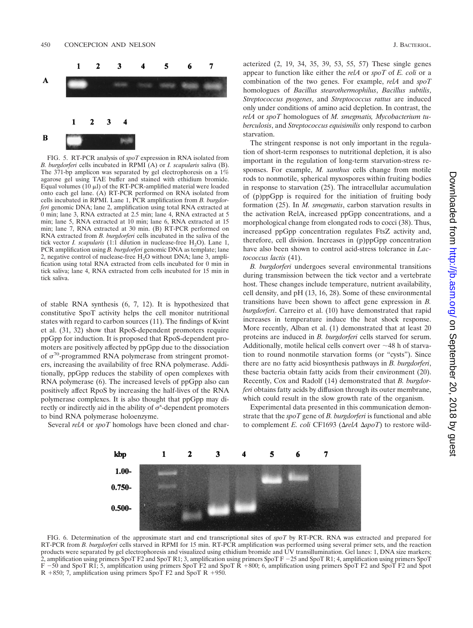

FIG. 5. RT-PCR analysis of *spoT* expression in RNA isolated from *B. burgdorferi* cells incubated in RPMI (A) or *I. scapularis* saliva (B). The 371-bp amplicon was separated by gel electrophoresis on a 1% agarose gel using TAE buffer and stained with ethidium bromide. Equal volumes (10  $\mu$ I) of the RT-PCR-amplified material were loaded onto each gel lane. (A) RT-PCR performed on RNA isolated from cells incubated in RPMI. Lane 1, PCR amplification from *B. burgdorferi* genomic DNA; lane 2, amplification using total RNA extracted at 0 min; lane 3, RNA extracted at 2.5 min; lane 4, RNA extracted at 5 min; lane 5, RNA extracted at 10 min; lane 6, RNA extracted at 15 min; lane 7, RNA extracted at 30 min. (B) RT-PCR performed on RNA extracted from *B. burgdorferi* cells incubated in the saliva of the tick vector *I. scapularis*  $(1:1]$  dilution in nuclease-free  $H_2O$ ). Lane 1, PCR amplification using *B. burgdorferi* genomic DNA as template; lane 2, negative control of nuclease-free H<sub>2</sub>O without DNA; lane 3, amplification using total RNA extracted from cells incubated for 0 min in tick saliva; lane 4, RNA extracted from cells incubated for 15 min in tick saliva.

of stable RNA synthesis (6, 7, 12). It is hypothesized that constitutive SpoT activity helps the cell monitor nutritional states with regard to carbon sources (11). The findings of Kvint et al. (31, 32) show that RpoS-dependent promoters require ppGpp for induction. It is proposed that RpoS-dependent promoters are positively affected by ppGpp due to the dissociation of  $\sigma^{70}$ -programmed RNA polymerase from stringent promoters, increasing the availability of free RNA polymerase. Additionally, ppGpp reduces the stability of open complexes with RNA polymerase (6). The increased levels of ppGpp also can positively affect RpoS by increasing the half-lives of the RNA polymerase complexes. It is also thought that ppGpp may directly or indirectly aid in the ability of  $\sigma^s$ -dependent promoters to bind RNA polymerase holoenzyme.

Several *relA* or *spoT* homologs have been cloned and char-

acterized (2, 19, 34, 35, 39, 53, 55, 57) These single genes appear to function like either the *relA* or *spoT* of *E. coli* or a combination of the two genes. For example, *relA* and *spoT* homologues of *Bacillus stearothermophilus*, *Bacillus subtilis*, *Streptococcus pyogenes*, and *Streptococcus rattus* are induced only under conditions of amino acid depletion. In contrast, the *relA* or *spoT* homologues of *M. smegmatis, Mycobacterium tuberculosis*, and *Streptococcus equisimilis* only respond to carbon starvation.

The stringent response is not only important in the regulation of short-term responses to nutritional depletion, it is also important in the regulation of long-term starvation-stress responses. For example, *M. xanthus* cells change from motile rods to nonmotile, spherical myxospores within fruiting bodies in response to starvation (25). The intracellular accumulation of (p)ppGpp is required for the initiation of fruiting body formation (25). In *M. smegmatis*, carbon starvation results in the activation RelA, increased ppGpp concentrations, and a morphological change from elongated rods to cocci (38). Thus, increased ppGpp concentration regulates FtsZ activity and, therefore, cell division. Increases in (p)ppGpp concentration have also been shown to control acid-stress tolerance in *Lactococcus lactis* (41).

*B. burgdorferi* undergoes several environmental transitions during transmission between the tick vector and a vertebrate host. These changes include temperature, nutrient availability, cell density, and pH (13, 16, 28). Some of these environmental transitions have been shown to affect gene expression in *B. burgdorferi*. Carreiro et al. (10) have demonstrated that rapid increases in temperature induce the heat shock response. More recently, Alban et al. (1) demonstrated that at least 20 proteins are induced in *B. burgdorferi* cells starved for serum. Additionally, motile helical cells convert over  $\sim$ 48 h of starvation to round nonmotile starvation forms (or "cysts"). Since there are no fatty acid biosynthesis pathways in *B. burgdorferi*, these bacteria obtain fatty acids from their environment (20). Recently, Cox and Radolf (14) demonstrated that *B. burgdorferi* obtains fatty acids by diffusion through its outer membrane, which could result in the slow growth rate of the organism.

Experimental data presented in this communication demonstrate that the *spoT* gene of *B. burgdorferi* is functional and able to complement *E. coli* CF1693 ( $\Delta$ *relA*  $\Delta$ *spoT*) to restore wild-



FIG. 6. Determination of the approximate start and end transcriptional sites of *spoT* by RT-PCR. RNA was extracted and prepared for RT-PCR from *B. burgdorferi* cells starved in RPMI for 15 min. RT-PCR amplification was performed using several primer sets, and the reaction products were separated by gel electrophoresis and visualized using ethidium bromide and UV transillumination. Gel lanes: 1, DNA size markers; 2, amplification using primers SpoT F2 and SpoT R1; 3, amplification using primers SpoT F  $-25$  and SpoT R1; 4, amplification using primers SpoT F -50 and SpoT R1; 5, amplification using primers SpoT F2 and SpoT R +800; 6, amplification using primers SpoT F2 and SpoT F2 and Spot  $R + 850$ ; 7, amplification using primers SpoT F2 and SpoT R +950.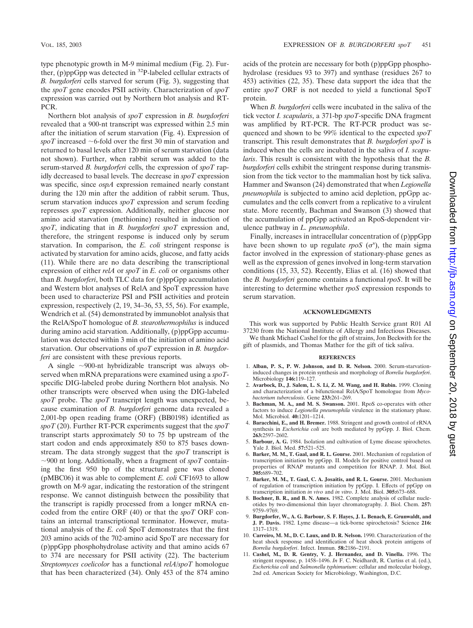type phenotypic growth in M-9 minimal medium (Fig. 2). Further, (p)ppGpp was detected in  $^{32}P$ -labeled cellular extracts of *B. burgdorferi* cells starved for serum (Fig. 3), suggesting that the *spoT* gene encodes PSII activity. Characterization of *spoT* expression was carried out by Northern blot analysis and RT-PCR.

Northern blot analysis of *spoT* expression in *B. burgdorferi* revealed that a 900-nt transcript was expressed within 2.5 min after the initiation of serum starvation (Fig. 4). Expression of spoT increased  $\sim$  6-fold over the first 30 min of starvation and returned to basal levels after 120 min of serum starvation (data not shown). Further, when rabbit serum was added to the serum-starved *B. burgdorferi* cells, the expression of *spoT* rapidly decreased to basal levels. The decrease in *spoT* expression was specific, since *ospA* expression remained nearly constant during the 120 min after the addition of rabbit serum. Thus, serum starvation induces *spoT* expression and serum feeding represses *spoT* expression. Additionally, neither glucose nor amino acid starvation (methionine) resulted in induction of *spoT*, indicating that in *B. burgdorferi spoT* expression and, therefore, the stringent response is induced only by serum starvation. In comparison, the *E. coli* stringent response is activated by starvation for amino acids, glucose, and fatty acids (11). While there are no data describing the transcriptional expression of either *relA* or *spoT* in *E. coli* or organisms other than *B. burgdorferi*, both TLC data for (p)ppGpp accumulation and Western blot analyses of RelA and SpoT expression have been used to characterize PSI and PSII activities and protein expression, respectively (2, 19, 34–36, 53, 55, 56). For example, Wendrich et al. (54) demonstrated by immunoblot analysis that the RelA/SpoT homologue of *B. stearothermophilus* is induced during amino acid starvation. Additionally, (p)ppGpp accumulation was detected within 3 min of the initiation of amino acid starvation. Our observations of *spoT* expression in *B. burgdorferi* are consistent with these previous reports.

A single ~900-nt hybridizable transcript was always observed when mRNA preparations were examined using a *spoT*specific DIG-labeled probe during Northern blot analysis. No other transcripts were observed when using the DIG-labeled *spoT* probe. The *spoT* transcript length was unexpected, because examination of *B. burgdorferi* genome data revealed a 2,001-bp open reading frame (ORF) (BB0198) identified as *spoT* (20). Further RT-PCR experiments suggest that the *spoT* transcript starts approximately 50 to 75 bp upstream of the start codon and ends approximately 850 to 875 bases downstream. The data strongly suggest that the *spoT* transcript is  $\sim$ 900 nt long. Additionally, when a fragment of *spoT* containing the first 950 bp of the structural gene was cloned (pMBC06) it was able to complement *E. coli* CF1693 to allow growth on M-9 agar, indicating the restoration of the stringent response. We cannot distinguish between the possibility that the transcript is rapidly processed from a longer mRNA encoded from the entire ORF (40) or that the *spoT* ORF contains an internal transcriptional terminator. However, mutational analysis of the *E. coli* SpoT demonstrates that the first 203 amino acids of the 702-amino acid SpoT are necessary for (p)ppGpp phosphohydrolase activity and that amino acids 67 to 374 are necessary for PSII activity (22). The bacterium *Streptomyces coelicolor* has a functional *relA/spoT* homologue that has been characterized (34). Only 453 of the 874 amino

acids of the protein are necessary for both (p)ppGpp phosphohydrolase (residues 93 to 397) and synthase (residues 267 to 453) activities (22, 35). These data support the idea that the entire *spoT* ORF is not needed to yield a functional SpoT protein.

When *B. burgdorferi* cells were incubated in the saliva of the tick vector *I. scapularis*, a 371-bp *spoT*-specific DNA fragment was amplified by RT-PCR. The RT-PCR product was sequenced and shown to be 99% identical to the expected *spoT* transcript. This result demonstrates that *B. burgdorferi spoT* is induced when the cells are incubated in the saliva of *I. scapularis*. This result is consistent with the hypothesis that the *B. burgdorferi* cells exhibit the stringent response during transmission from the tick vector to the mammalian host by tick saliva. Hammer and Swanson (24) demonstrated that when *Legionella pneumophila* is subjected to amino acid depletion, ppGpp accumulates and the cells convert from a replicative to a virulent state. More recently, Bachman and Swanson (3) showed that the accumulation of ppGpp activated an RpoS-dependent virulence pathway in *L. pneumophila*.

Finally, increases in intracellular concentration of (p)ppGpp have been shown to up regulate  $rpoS$  ( $\sigma$ <sup>s</sup>), the main sigma factor involved in the expression of stationary-phase genes as well as the expression of genes involved in long-term starvation conditions (15, 33, 52). Recently, Elias et al. (16) showed that the *B. burgdorferi* genome contains a functional *rpoS*. It will be interesting to determine whether *rpoS* expression responds to serum starvation.

## **ACKNOWLEDGMENTS**

This work was supported by Public Health Service grant R01 AI 37230 from the National Institute of Allergy and Infectious Diseases.

We thank Michael Cashel for the gift of strains, Jon Beckwith for the gift of plasmids, and Thomas Mather for the gift of tick saliva.

### **REFERENCES**

- 1. **Alban, P. S., P. W. Johnson, and D. R. Nelson.** 2000. Serum-starvationinduced changes in protein synthesis and morphology of *Borrelia burgdorferi*. Microbiology **146:**119–127.
- 2. **Avarbock, D., J. Salem, L. S. Li, Z. M. Wang, and H. Rubin.** 1999. Cloning and characterization of a bifunctional RelA/SpoT homologue from *Mycobacterium tuberculosis*. Gene **233:**261–269.
- 3. **Bachman, M. A., and M. S. Swanson.** 2001. RpoS co-operates with other factors to induce *Legionella pneumophila* virulence in the stationary phase. Mol. Microbiol. **40:**1201–1214.
- 4. **Baracchini, E., and H. Bremer.** 1988. Stringent and growth control of rRNA synthesis in *Escherichia coli* are both mediated by ppGpp. J. Biol. Chem. **263:**2597–2602.
- 5. **Barbour, A. G.** 1984. Isolation and cultivation of Lyme disease spirochetes. Yale J. Biol. Med. **57:**521–525.
- 6. **Barker, M. M., T. Gaal, and R. L. Gourse.** 2001. Mechanism of regulation of transcription initiation by ppGpp. II. Models for positive control based on properties of RNAP mutants and competition for RNAP. J. Mol. Biol. **305:**689–702.
- 7. **Barker, M. M., T. Gaal, C. A. Josaitis, and R. L. Gourse.** 2001. Mechanism of regulation of transcription initiation by ppGpp. I. Effects of ppGpp on transcription initiation *in vivo* and *in vitro*. J. Mol. Biol. **305:**673–688.
- 8. **Bochner, B. R., and B. N. Ames.** 1982. Complete analysis of cellular nucleotides by two-dimensional thin layer chromatography. J. Biol. Chem. **257:** 9759–9769.
- 9. **Burgdorfer, W., A. G. Barbour, S. F. Hayes, J. L. Benach, E. Grunwaldt, and J. P. Davis.** 1982. Lyme disease—a tick-borne spirochetosis? Science **216:** 1317–1319.
- 10. **Carreiro, M. M., D. C. Laux, and D. R. Nelson.** 1990. Characterization of the heat shock response and identification of heat shock protein antigens of *Borrelia burgdorferi*. Infect. Immun. **58:**2186–2191.
- 11. **Cashel, M., D. R. Gentry, V. J. Hernandez, and D. Vinella.** 1996. The stringent response, p. 1458–1496. *In* F. C. Neidhardt, R. Curtiss et al. (ed.), *Escherichia coli* and *Salmonella typhimurium*: cellular and molecular biology, 2nd ed. American Society for Microbiology, Washington, D.C.